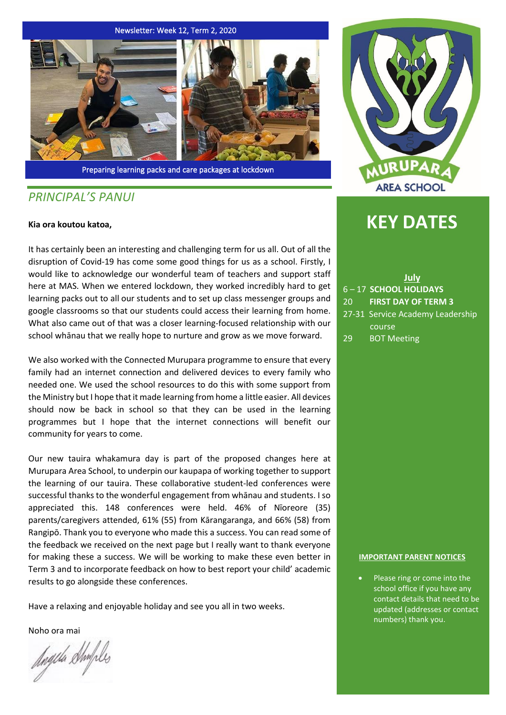#### Newsletter: Week 12, Term 2, 2020



Preparing learning packs and care packages at lockdown

# *PRINCIPAL'S PANUI*

#### **Kia ora koutou katoa,**

It has certainly been an interesting and challenging term for us all. Out of all the disruption of Covid-19 has come some good things for us as a school. Firstly, I would like to acknowledge our wonderful team of teachers and support staff here at MAS. When we entered lockdown, they worked incredibly hard to get learning packs out to all our students and to set up class messenger groups and google classrooms so that our students could access their learning from home. What also came out of that was a closer learning-focused relationship with our school whānau that we really hope to nurture and grow as we move forward.

We also worked with the Connected Murupara programme to ensure that every family had an internet connection and delivered devices to every family who needed one. We used the school resources to do this with some support from the Ministry but I hope that it made learning from home a little easier. All devices should now be back in school so that they can be used in the learning programmes but I hope that the internet connections will benefit our community for years to come.

Our new tauira whakamura day is part of the proposed changes here at Murupara Area School, to underpin our kaupapa of working together to support the learning of our tauira. These collaborative student-led conferences were successful thanks to the wonderful engagement from whānau and students. I so appreciated this. 148 conferences were held. 46% of Nīoreore (35) parents/caregivers attended, 61% (55) from Kārangaranga, and 66% (58) from Rangipō. Thank you to everyone who made this a success. You can read some of the feedback we received on the next page but I really want to thank everyone for making these a success. We will be working to make these even better in Term 3 and to incorporate feedback on how to best report your child' academic results to go alongside these conferences.

Have a relaxing and enjoyable holiday and see you all in two weeks.

Noho ora mai

hogila Shufiles



# **KEY DATES**

**July** 6 – 17 **SCHOOL HOLIDAYS** 20 **FIRST DAY OF TERM 3** 27-31 Service Academy Leadership course

29 BOT Meeting

#### **IMPORTANT PARENT NOTICES**

Please ring or come into the school office if you have any contact details that need to be updated (addresses or contact numbers) thank you.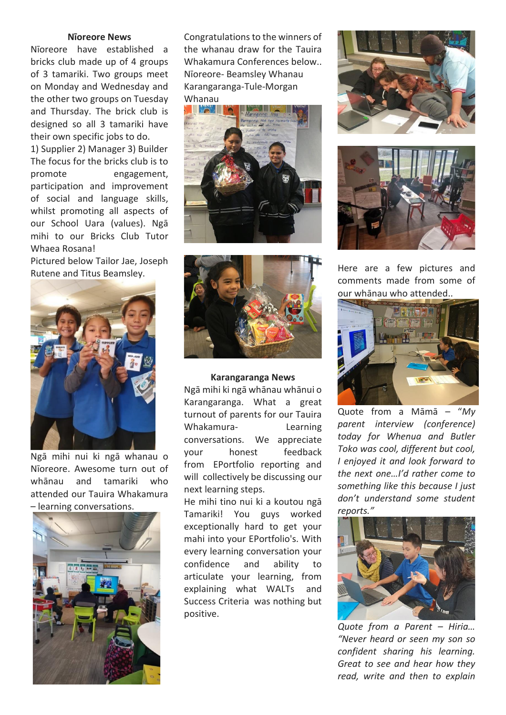# **Nīoreore News**

Nīoreore have established a bricks club made up of 4 groups of 3 tamariki. Two groups meet on Monday and Wednesday and the other two groups on Tuesday and Thursday. The brick club is designed so all 3 tamariki have their own specific jobs to do.

1) Supplier 2) Manager 3) Builder The focus for the bricks club is to promote engagement, participation and improvement of social and language skills, whilst promoting all aspects of our School Uara (values). Ngā mihi to our Bricks Club Tutor Whaea Rosana!

Pictured below Tailor Jae, Joseph Rutene and Titus Beamsley.



Ngā mihi nui ki ngā whanau o Nīoreore. Awesome turn out of whānau and tamariki who attended our Tauira Whakamura – learning conversations.



Congratulations to the winners of the whanau draw for the Tauira Whakamura Conferences below.. Nīoreore- Beamsley Whanau Karangaranga-Tule-Morgan Whanau





## **Karangaranga News**

Ngā mihi ki ngā whānau whānui o Karangaranga. What a great turnout of parents for our Tauira Whakamura- Learning conversations. We appreciate your honest feedback from EPortfolio reporting and will collectively be discussing our next learning steps.

He mihi tino nui ki a koutou ngā Tamariki! You guys worked exceptionally hard to get your mahi into your EPortfolio's. With every learning conversation your confidence and ability to articulate your learning, from explaining what WALTs and Success Criteria was nothing but positive.





Here are a few pictures and comments made from some of our whānau who attended..



Quote from a Māmā – "*My parent interview (conference) today for Whenua and Butler Toko was cool, different but cool, I enjoyed it and look forward to the next one…I'd rather come to something like this because I just don't understand some student reports."*



*Quote from a Parent – Hiria… "Never heard or seen my son so confident sharing his learning. Great to see and hear how they read, write and then to explain*